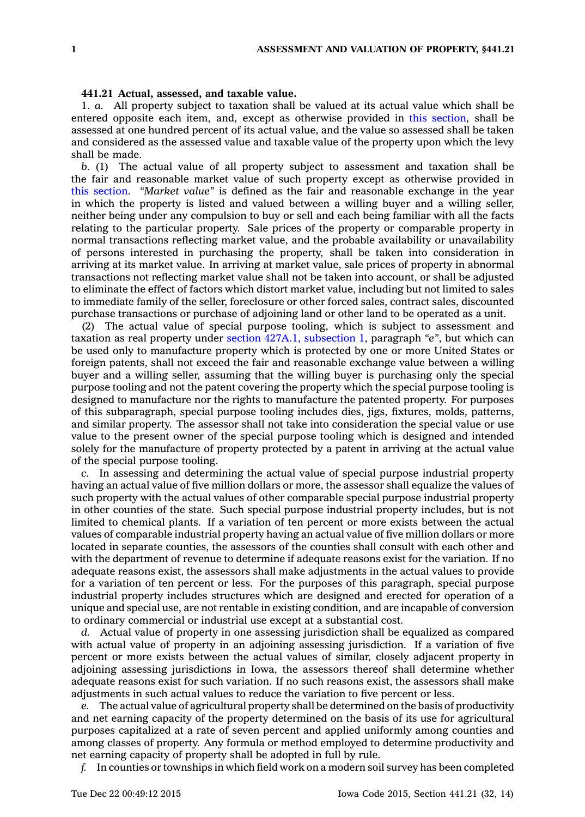## **441.21 Actual, assessed, and taxable value.**

1. *a.* All property subject to taxation shall be valued at its actual value which shall be entered opposite each item, and, except as otherwise provided in this [section](https://www.legis.iowa.gov/docs/code//441.21.pdf), shall be assessed at one hundred percent of its actual value, and the value so assessed shall be taken and considered as the assessed value and taxable value of the property upon which the levy shall be made.

*b.* (1) The actual value of all property subject to assessment and taxation shall be the fair and reasonable market value of such property except as otherwise provided in this [section](https://www.legis.iowa.gov/docs/code//441.21.pdf). *"Market value"* is defined as the fair and reasonable exchange in the year in which the property is listed and valued between <sup>a</sup> willing buyer and <sup>a</sup> willing seller, neither being under any compulsion to buy or sell and each being familiar with all the facts relating to the particular property. Sale prices of the property or comparable property in normal transactions reflecting market value, and the probable availability or unavailability of persons interested in purchasing the property, shall be taken into consideration in arriving at its market value. In arriving at market value, sale prices of property in abnormal transactions not reflecting market value shall not be taken into account, or shall be adjusted to eliminate the effect of factors which distort market value, including but not limited to sales to immediate family of the seller, foreclosure or other forced sales, contract sales, discounted purchase transactions or purchase of adjoining land or other land to be operated as <sup>a</sup> unit.

(2) The actual value of special purpose tooling, which is subject to assessment and taxation as real property under section 427A.1, [subsection](https://www.legis.iowa.gov/docs/code//427A.1.pdf) 1, paragraph *"e"*, but which can be used only to manufacture property which is protected by one or more United States or foreign patents, shall not exceed the fair and reasonable exchange value between <sup>a</sup> willing buyer and <sup>a</sup> willing seller, assuming that the willing buyer is purchasing only the special purpose tooling and not the patent covering the property which the special purpose tooling is designed to manufacture nor the rights to manufacture the patented property. For purposes of this subparagraph, special purpose tooling includes dies, jigs, fixtures, molds, patterns, and similar property. The assessor shall not take into consideration the special value or use value to the present owner of the special purpose tooling which is designed and intended solely for the manufacture of property protected by <sup>a</sup> patent in arriving at the actual value of the special purpose tooling.

*c.* In assessing and determining the actual value of special purpose industrial property having an actual value of five million dollars or more, the assessor shall equalize the values of such property with the actual values of other comparable special purpose industrial property in other counties of the state. Such special purpose industrial property includes, but is not limited to chemical plants. If <sup>a</sup> variation of ten percent or more exists between the actual values of comparable industrial property having an actual value of five million dollars or more located in separate counties, the assessors of the counties shall consult with each other and with the department of revenue to determine if adequate reasons exist for the variation. If no adequate reasons exist, the assessors shall make adjustments in the actual values to provide for <sup>a</sup> variation of ten percent or less. For the purposes of this paragraph, special purpose industrial property includes structures which are designed and erected for operation of <sup>a</sup> unique and special use, are not rentable in existing condition, and are incapable of conversion to ordinary commercial or industrial use except at <sup>a</sup> substantial cost.

*d.* Actual value of property in one assessing jurisdiction shall be equalized as compared with actual value of property in an adjoining assessing jurisdiction. If <sup>a</sup> variation of five percent or more exists between the actual values of similar, closely adjacent property in adjoining assessing jurisdictions in Iowa, the assessors thereof shall determine whether adequate reasons exist for such variation. If no such reasons exist, the assessors shall make adjustments in such actual values to reduce the variation to five percent or less.

*e.* The actual value of agricultural property shall be determined on the basis of productivity and net earning capacity of the property determined on the basis of its use for agricultural purposes capitalized at <sup>a</sup> rate of seven percent and applied uniformly among counties and among classes of property. Any formula or method employed to determine productivity and net earning capacity of property shall be adopted in full by rule.

*f.* In counties or townships in which field work on <sup>a</sup> modern soil survey has been completed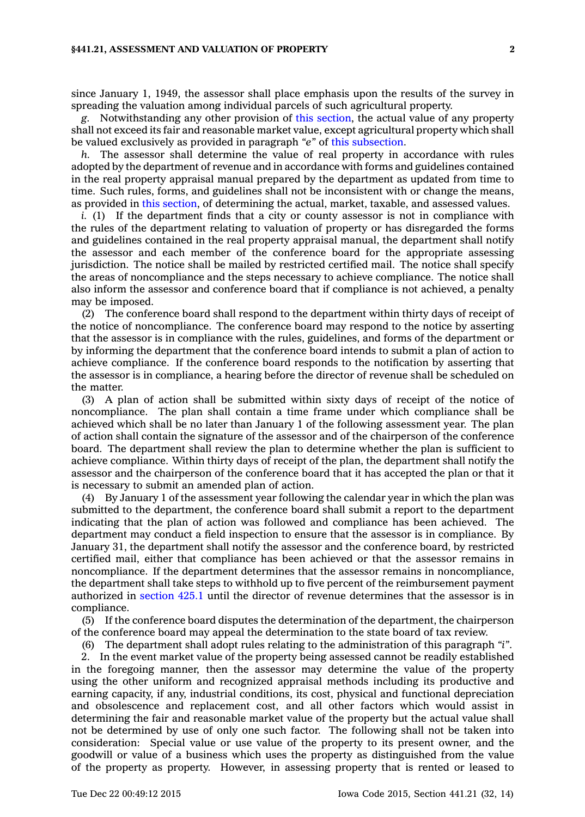since January 1, 1949, the assessor shall place emphasis upon the results of the survey in spreading the valuation among individual parcels of such agricultural property.

*g.* Notwithstanding any other provision of this [section](https://www.legis.iowa.gov/docs/code//441.21.pdf), the actual value of any property shall not exceed its fair and reasonable market value, except agricultural property which shall be valued exclusively as provided in paragraph *"e"* of this [subsection](https://www.legis.iowa.gov/docs/code//441.21.pdf).

*h.* The assessor shall determine the value of real property in accordance with rules adopted by the department of revenue and in accordance with forms and guidelines contained in the real property appraisal manual prepared by the department as updated from time to time. Such rules, forms, and guidelines shall not be inconsistent with or change the means, as provided in this [section](https://www.legis.iowa.gov/docs/code//441.21.pdf), of determining the actual, market, taxable, and assessed values.

*i.* (1) If the department finds that a city or county assessor is not in compliance with the rules of the department relating to valuation of property or has disregarded the forms and guidelines contained in the real property appraisal manual, the department shall notify the assessor and each member of the conference board for the appropriate assessing jurisdiction. The notice shall be mailed by restricted certified mail. The notice shall specify the areas of noncompliance and the steps necessary to achieve compliance. The notice shall also inform the assessor and conference board that if compliance is not achieved, <sup>a</sup> penalty may be imposed.

(2) The conference board shall respond to the department within thirty days of receipt of the notice of noncompliance. The conference board may respond to the notice by asserting that the assessor is in compliance with the rules, guidelines, and forms of the department or by informing the department that the conference board intends to submit <sup>a</sup> plan of action to achieve compliance. If the conference board responds to the notification by asserting that the assessor is in compliance, <sup>a</sup> hearing before the director of revenue shall be scheduled on the matter.

(3) A plan of action shall be submitted within sixty days of receipt of the notice of noncompliance. The plan shall contain <sup>a</sup> time frame under which compliance shall be achieved which shall be no later than January 1 of the following assessment year. The plan of action shall contain the signature of the assessor and of the chairperson of the conference board. The department shall review the plan to determine whether the plan is sufficient to achieve compliance. Within thirty days of receipt of the plan, the department shall notify the assessor and the chairperson of the conference board that it has accepted the plan or that it is necessary to submit an amended plan of action.

(4) By January 1 of the assessment year following the calendar year in which the plan was submitted to the department, the conference board shall submit <sup>a</sup> report to the department indicating that the plan of action was followed and compliance has been achieved. The department may conduct <sup>a</sup> field inspection to ensure that the assessor is in compliance. By January 31, the department shall notify the assessor and the conference board, by restricted certified mail, either that compliance has been achieved or that the assessor remains in noncompliance. If the department determines that the assessor remains in noncompliance, the department shall take steps to withhold up to five percent of the reimbursement payment authorized in [section](https://www.legis.iowa.gov/docs/code//425.1.pdf) 425.1 until the director of revenue determines that the assessor is in compliance.

(5) If the conference board disputes the determination of the department, the chairperson of the conference board may appeal the determination to the state board of tax review.

(6) The department shall adopt rules relating to the administration of this paragraph *"i"*.

2. In the event market value of the property being assessed cannot be readily established in the foregoing manner, then the assessor may determine the value of the property using the other uniform and recognized appraisal methods including its productive and earning capacity, if any, industrial conditions, its cost, physical and functional depreciation and obsolescence and replacement cost, and all other factors which would assist in determining the fair and reasonable market value of the property but the actual value shall not be determined by use of only one such factor. The following shall not be taken into consideration: Special value or use value of the property to its present owner, and the goodwill or value of <sup>a</sup> business which uses the property as distinguished from the value of the property as property. However, in assessing property that is rented or leased to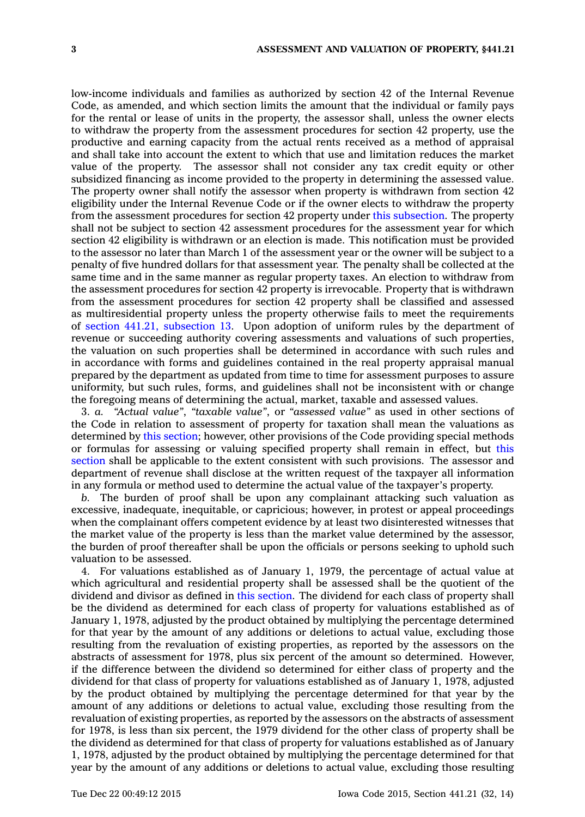low-income individuals and families as authorized by section 42 of the Internal Revenue Code, as amended, and which section limits the amount that the individual or family pays for the rental or lease of units in the property, the assessor shall, unless the owner elects to withdraw the property from the assessment procedures for section 42 property, use the productive and earning capacity from the actual rents received as <sup>a</sup> method of appraisal and shall take into account the extent to which that use and limitation reduces the market value of the property. The assessor shall not consider any tax credit equity or other subsidized financing as income provided to the property in determining the assessed value. The property owner shall notify the assessor when property is withdrawn from section 42 eligibility under the Internal Revenue Code or if the owner elects to withdraw the property from the assessment procedures for section 42 property under this [subsection](https://www.legis.iowa.gov/docs/code//441.21.pdf). The property shall not be subject to section 42 assessment procedures for the assessment year for which section 42 eligibility is withdrawn or an election is made. This notification must be provided to the assessor no later than March 1 of the assessment year or the owner will be subject to <sup>a</sup> penalty of five hundred dollars for that assessment year. The penalty shall be collected at the same time and in the same manner as regular property taxes. An election to withdraw from the assessment procedures for section 42 property is irrevocable. Property that is withdrawn from the assessment procedures for section 42 property shall be classified and assessed as multiresidential property unless the property otherwise fails to meet the requirements of section 441.21, [subsection](https://www.legis.iowa.gov/docs/code//441.21.pdf) 13. Upon adoption of uniform rules by the department of revenue or succeeding authority covering assessments and valuations of such properties, the valuation on such properties shall be determined in accordance with such rules and in accordance with forms and guidelines contained in the real property appraisal manual prepared by the department as updated from time to time for assessment purposes to assure uniformity, but such rules, forms, and guidelines shall not be inconsistent with or change the foregoing means of determining the actual, market, taxable and assessed values.

3. *a. "Actual value"*, *"taxable value"*, or *"assessed value"* as used in other sections of the Code in relation to assessment of property for taxation shall mean the valuations as determined by this [section](https://www.legis.iowa.gov/docs/code//441.21.pdf); however, other provisions of the Code providing special methods or formulas for assessing or valuing specified property shall remain in effect, but [this](https://www.legis.iowa.gov/docs/code//441.21.pdf) [section](https://www.legis.iowa.gov/docs/code//441.21.pdf) shall be applicable to the extent consistent with such provisions. The assessor and department of revenue shall disclose at the written request of the taxpayer all information in any formula or method used to determine the actual value of the taxpayer's property.

*b.* The burden of proof shall be upon any complainant attacking such valuation as excessive, inadequate, inequitable, or capricious; however, in protest or appeal proceedings when the complainant offers competent evidence by at least two disinterested witnesses that the market value of the property is less than the market value determined by the assessor, the burden of proof thereafter shall be upon the officials or persons seeking to uphold such valuation to be assessed.

4. For valuations established as of January 1, 1979, the percentage of actual value at which agricultural and residential property shall be assessed shall be the quotient of the dividend and divisor as defined in this [section](https://www.legis.iowa.gov/docs/code//441.21.pdf). The dividend for each class of property shall be the dividend as determined for each class of property for valuations established as of January 1, 1978, adjusted by the product obtained by multiplying the percentage determined for that year by the amount of any additions or deletions to actual value, excluding those resulting from the revaluation of existing properties, as reported by the assessors on the abstracts of assessment for 1978, plus six percent of the amount so determined. However, if the difference between the dividend so determined for either class of property and the dividend for that class of property for valuations established as of January 1, 1978, adjusted by the product obtained by multiplying the percentage determined for that year by the amount of any additions or deletions to actual value, excluding those resulting from the revaluation of existing properties, as reported by the assessors on the abstracts of assessment for 1978, is less than six percent, the 1979 dividend for the other class of property shall be the dividend as determined for that class of property for valuations established as of January 1, 1978, adjusted by the product obtained by multiplying the percentage determined for that year by the amount of any additions or deletions to actual value, excluding those resulting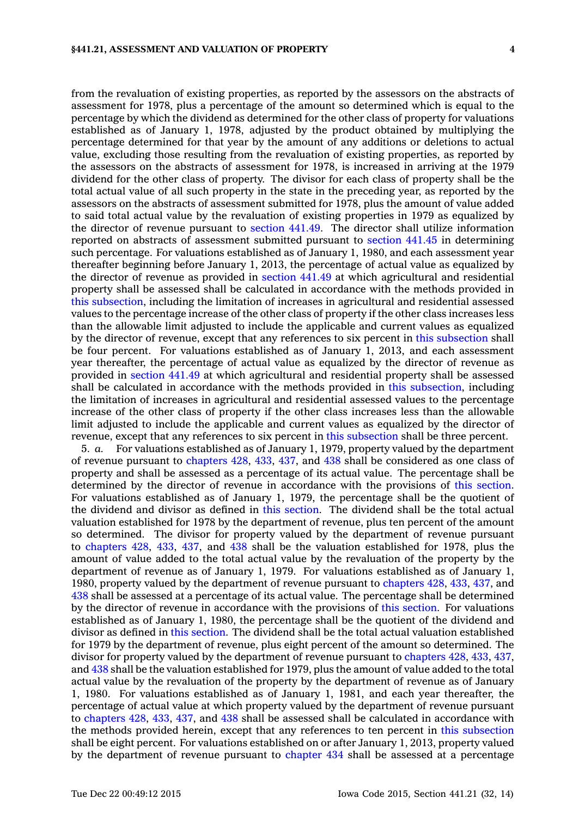from the revaluation of existing properties, as reported by the assessors on the abstracts of assessment for 1978, plus <sup>a</sup> percentage of the amount so determined which is equal to the percentage by which the dividend as determined for the other class of property for valuations established as of January 1, 1978, adjusted by the product obtained by multiplying the percentage determined for that year by the amount of any additions or deletions to actual value, excluding those resulting from the revaluation of existing properties, as reported by the assessors on the abstracts of assessment for 1978, is increased in arriving at the 1979 dividend for the other class of property. The divisor for each class of property shall be the total actual value of all such property in the state in the preceding year, as reported by the assessors on the abstracts of assessment submitted for 1978, plus the amount of value added to said total actual value by the revaluation of existing properties in 1979 as equalized by the director of revenue pursuant to [section](https://www.legis.iowa.gov/docs/code//441.49.pdf) 441.49. The director shall utilize information reported on abstracts of assessment submitted pursuant to [section](https://www.legis.iowa.gov/docs/code//441.45.pdf) 441.45 in determining such percentage. For valuations established as of January 1, 1980, and each assessment year thereafter beginning before January 1, 2013, the percentage of actual value as equalized by the director of revenue as provided in [section](https://www.legis.iowa.gov/docs/code//441.49.pdf) 441.49 at which agricultural and residential property shall be assessed shall be calculated in accordance with the methods provided in this [subsection](https://www.legis.iowa.gov/docs/code//441.21.pdf), including the limitation of increases in agricultural and residential assessed values to the percentage increase of the other class of property if the other class increases less than the allowable limit adjusted to include the applicable and current values as equalized by the director of revenue, except that any references to six percent in this [subsection](https://www.legis.iowa.gov/docs/code//441.21.pdf) shall be four percent. For valuations established as of January 1, 2013, and each assessment year thereafter, the percentage of actual value as equalized by the director of revenue as provided in [section](https://www.legis.iowa.gov/docs/code//441.49.pdf) 441.49 at which agricultural and residential property shall be assessed shall be calculated in accordance with the methods provided in this [subsection](https://www.legis.iowa.gov/docs/code//441.21.pdf), including the limitation of increases in agricultural and residential assessed values to the percentage increase of the other class of property if the other class increases less than the allowable limit adjusted to include the applicable and current values as equalized by the director of revenue, except that any references to six percent in this [subsection](https://www.legis.iowa.gov/docs/code//441.21.pdf) shall be three percent.

5. *a.* For valuations established as of January 1, 1979, property valued by the department of revenue pursuant to [chapters](https://www.legis.iowa.gov/docs/code//428.pdf) 428, [433](https://www.legis.iowa.gov/docs/code//433.pdf), [437](https://www.legis.iowa.gov/docs/code//437.pdf), and [438](https://www.legis.iowa.gov/docs/code//438.pdf) shall be considered as one class of property and shall be assessed as <sup>a</sup> percentage of its actual value. The percentage shall be determined by the director of revenue in accordance with the provisions of this [section](https://www.legis.iowa.gov/docs/code//441.21.pdf). For valuations established as of January 1, 1979, the percentage shall be the quotient of the dividend and divisor as defined in this [section](https://www.legis.iowa.gov/docs/code//441.21.pdf). The dividend shall be the total actual valuation established for 1978 by the department of revenue, plus ten percent of the amount so determined. The divisor for property valued by the department of revenue pursuant to [chapters](https://www.legis.iowa.gov/docs/code//428.pdf) 428, [433](https://www.legis.iowa.gov/docs/code//433.pdf), [437](https://www.legis.iowa.gov/docs/code//437.pdf), and [438](https://www.legis.iowa.gov/docs/code//438.pdf) shall be the valuation established for 1978, plus the amount of value added to the total actual value by the revaluation of the property by the department of revenue as of January 1, 1979. For valuations established as of January 1, 1980, property valued by the department of revenue pursuant to [chapters](https://www.legis.iowa.gov/docs/code//428.pdf) 428, [433](https://www.legis.iowa.gov/docs/code//433.pdf), [437](https://www.legis.iowa.gov/docs/code//437.pdf), and [438](https://www.legis.iowa.gov/docs/code//438.pdf) shall be assessed at <sup>a</sup> percentage of its actual value. The percentage shall be determined by the director of revenue in accordance with the provisions of this [section](https://www.legis.iowa.gov/docs/code//441.21.pdf). For valuations established as of January 1, 1980, the percentage shall be the quotient of the dividend and divisor as defined in this [section](https://www.legis.iowa.gov/docs/code//441.21.pdf). The dividend shall be the total actual valuation established for 1979 by the department of revenue, plus eight percent of the amount so determined. The divisor for property valued by the department of revenue pursuant to [chapters](https://www.legis.iowa.gov/docs/code//428.pdf) 428, [433](https://www.legis.iowa.gov/docs/code//433.pdf), [437](https://www.legis.iowa.gov/docs/code//437.pdf), and [438](https://www.legis.iowa.gov/docs/code//438.pdf) shall be the valuation established for 1979, plus the amount of value added to the total actual value by the revaluation of the property by the department of revenue as of January 1, 1980. For valuations established as of January 1, 1981, and each year thereafter, the percentage of actual value at which property valued by the department of revenue pursuant to [chapters](https://www.legis.iowa.gov/docs/code//428.pdf) 428, [433](https://www.legis.iowa.gov/docs/code//433.pdf), [437](https://www.legis.iowa.gov/docs/code//437.pdf), and [438](https://www.legis.iowa.gov/docs/code//438.pdf) shall be assessed shall be calculated in accordance with the methods provided herein, except that any references to ten percent in this [subsection](https://www.legis.iowa.gov/docs/code//441.21.pdf) shall be eight percent. For valuations established on or after January 1, 2013, property valued by the department of revenue pursuant to [chapter](https://www.legis.iowa.gov/docs/code//434.pdf) 434 shall be assessed at <sup>a</sup> percentage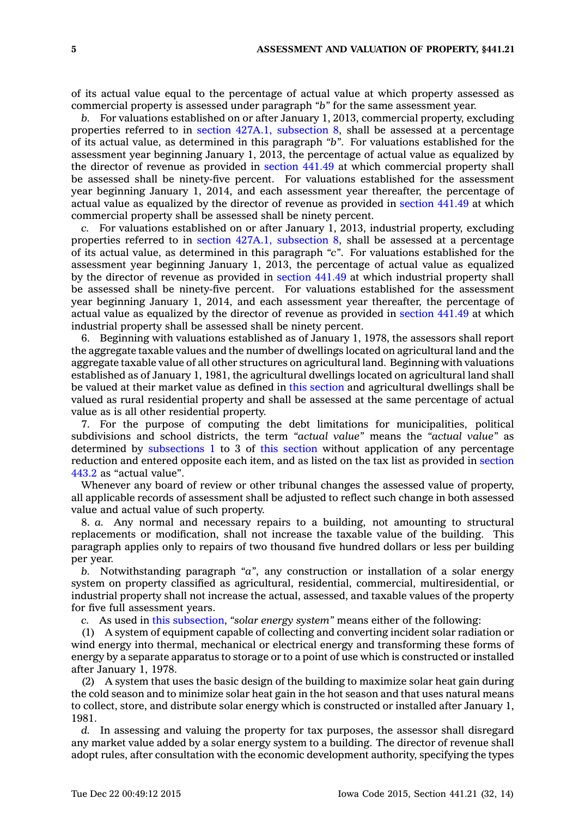of its actual value equal to the percentage of actual value at which property assessed as commercial property is assessed under paragraph *"b"* for the same assessment year.

*b.* For valuations established on or after January 1, 2013, commercial property, excluding properties referred to in section 427A.1, [subsection](https://www.legis.iowa.gov/docs/code//427A.1.pdf) 8, shall be assessed at <sup>a</sup> percentage of its actual value, as determined in this paragraph *"b"*. For valuations established for the assessment year beginning January 1, 2013, the percentage of actual value as equalized by the director of revenue as provided in [section](https://www.legis.iowa.gov/docs/code//441.49.pdf) 441.49 at which commercial property shall be assessed shall be ninety-five percent. For valuations established for the assessment year beginning January 1, 2014, and each assessment year thereafter, the percentage of actual value as equalized by the director of revenue as provided in [section](https://www.legis.iowa.gov/docs/code//441.49.pdf) 441.49 at which commercial property shall be assessed shall be ninety percent.

*c.* For valuations established on or after January 1, 2013, industrial property, excluding properties referred to in section 427A.1, [subsection](https://www.legis.iowa.gov/docs/code//427A.1.pdf) 8, shall be assessed at <sup>a</sup> percentage of its actual value, as determined in this paragraph *"c"*. For valuations established for the assessment year beginning January 1, 2013, the percentage of actual value as equalized by the director of revenue as provided in [section](https://www.legis.iowa.gov/docs/code//441.49.pdf) 441.49 at which industrial property shall be assessed shall be ninety-five percent. For valuations established for the assessment year beginning January 1, 2014, and each assessment year thereafter, the percentage of actual value as equalized by the director of revenue as provided in [section](https://www.legis.iowa.gov/docs/code//441.49.pdf) 441.49 at which industrial property shall be assessed shall be ninety percent.

6. Beginning with valuations established as of January 1, 1978, the assessors shall report the aggregate taxable values and the number of dwellings located on agricultural land and the aggregate taxable value of all other structures on agricultural land. Beginning with valuations established as of January 1, 1981, the agricultural dwellings located on agricultural land shall be valued at their market value as defined in this [section](https://www.legis.iowa.gov/docs/code//441.21.pdf) and agricultural dwellings shall be valued as rural residential property and shall be assessed at the same percentage of actual value as is all other residential property.

7. For the purpose of computing the debt limitations for municipalities, political subdivisions and school districts, the term *"actual value"* means the *"actual value"* as determined by [subsections](https://www.legis.iowa.gov/docs/code//441.21.pdf) 1 to 3 of this [section](https://www.legis.iowa.gov/docs/code//441.21.pdf) without application of any percentage reduction and entered opposite each item, and as listed on the tax list as provided in [section](https://www.legis.iowa.gov/docs/code//443.2.pdf) [443.2](https://www.legis.iowa.gov/docs/code//443.2.pdf) as "actual value".

Whenever any board of review or other tribunal changes the assessed value of property, all applicable records of assessment shall be adjusted to reflect such change in both assessed value and actual value of such property.

8. *a.* Any normal and necessary repairs to <sup>a</sup> building, not amounting to structural replacements or modification, shall not increase the taxable value of the building. This paragraph applies only to repairs of two thousand five hundred dollars or less per building per year.

*b.* Notwithstanding paragraph *"a"*, any construction or installation of <sup>a</sup> solar energy system on property classified as agricultural, residential, commercial, multiresidential, or industrial property shall not increase the actual, assessed, and taxable values of the property for five full assessment years.

*c.* As used in this [subsection](https://www.legis.iowa.gov/docs/code//441.21.pdf), *"solar energy system"* means either of the following:

(1) A system of equipment capable of collecting and converting incident solar radiation or wind energy into thermal, mechanical or electrical energy and transforming these forms of energy by <sup>a</sup> separate apparatus to storage or to <sup>a</sup> point of use which is constructed or installed after January 1, 1978.

(2) A system that uses the basic design of the building to maximize solar heat gain during the cold season and to minimize solar heat gain in the hot season and that uses natural means to collect, store, and distribute solar energy which is constructed or installed after January 1, 1981.

*d.* In assessing and valuing the property for tax purposes, the assessor shall disregard any market value added by <sup>a</sup> solar energy system to <sup>a</sup> building. The director of revenue shall adopt rules, after consultation with the economic development authority, specifying the types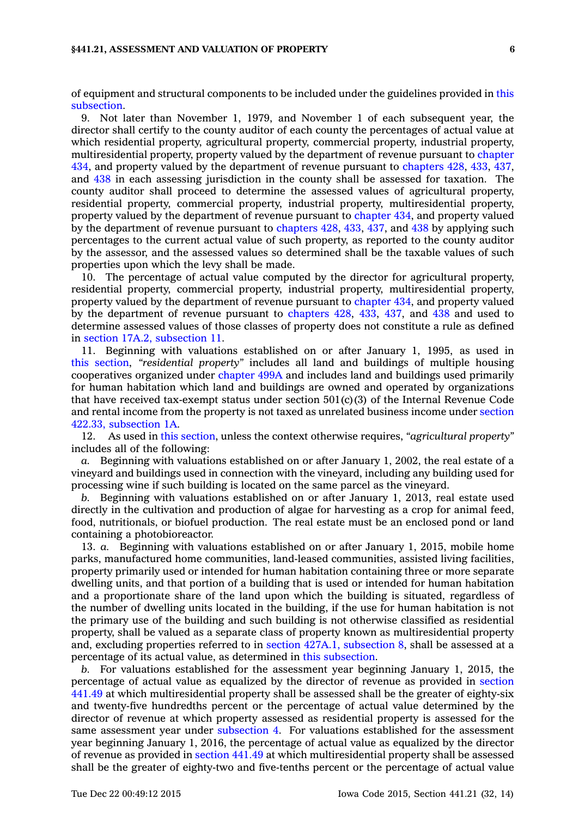## **§441.21, ASSESSMENT AND VALUATION OF PROPERTY 6**

of equipment and structural components to be included under the guidelines provided in [this](https://www.legis.iowa.gov/docs/code//441.21.pdf) [subsection](https://www.legis.iowa.gov/docs/code//441.21.pdf).

9. Not later than November 1, 1979, and November 1 of each subsequent year, the director shall certify to the county auditor of each county the percentages of actual value at which residential property, agricultural property, commercial property, industrial property, multiresidential property, property valued by the department of revenue pursuant to [chapter](https://www.legis.iowa.gov/docs/code//434.pdf) [434](https://www.legis.iowa.gov/docs/code//434.pdf), and property valued by the department of revenue pursuant to [chapters](https://www.legis.iowa.gov/docs/code//428.pdf) 428, [433](https://www.legis.iowa.gov/docs/code//433.pdf), [437](https://www.legis.iowa.gov/docs/code//437.pdf), and [438](https://www.legis.iowa.gov/docs/code//438.pdf) in each assessing jurisdiction in the county shall be assessed for taxation. The county auditor shall proceed to determine the assessed values of agricultural property, residential property, commercial property, industrial property, multiresidential property, property valued by the department of revenue pursuant to [chapter](https://www.legis.iowa.gov/docs/code//434.pdf) 434, and property valued by the department of revenue pursuant to [chapters](https://www.legis.iowa.gov/docs/code//428.pdf) 428, [433](https://www.legis.iowa.gov/docs/code//433.pdf), [437](https://www.legis.iowa.gov/docs/code//437.pdf), and [438](https://www.legis.iowa.gov/docs/code//438.pdf) by applying such percentages to the current actual value of such property, as reported to the county auditor by the assessor, and the assessed values so determined shall be the taxable values of such properties upon which the levy shall be made.

10. The percentage of actual value computed by the director for agricultural property, residential property, commercial property, industrial property, multiresidential property, property valued by the department of revenue pursuant to [chapter](https://www.legis.iowa.gov/docs/code//434.pdf) 434, and property valued by the department of revenue pursuant to [chapters](https://www.legis.iowa.gov/docs/code//428.pdf) 428, [433](https://www.legis.iowa.gov/docs/code//433.pdf), [437](https://www.legis.iowa.gov/docs/code//437.pdf), and [438](https://www.legis.iowa.gov/docs/code//438.pdf) and used to determine assessed values of those classes of property does not constitute <sup>a</sup> rule as defined in section 17A.2, [subsection](https://www.legis.iowa.gov/docs/code//17A.2.pdf) 11.

11. Beginning with valuations established on or after January 1, 1995, as used in this [section](https://www.legis.iowa.gov/docs/code//441.21.pdf), *"residential property"* includes all land and buildings of multiple housing cooperatives organized under [chapter](https://www.legis.iowa.gov/docs/code//499A.pdf) 499A and includes land and buildings used primarily for human habitation which land and buildings are owned and operated by organizations that have received tax-exempt status under section  $501(c)(3)$  of the Internal Revenue Code and rental income from the property is not taxed as unrelated business income under [section](https://www.legis.iowa.gov/docs/code//422.33.pdf) 422.33, [subsection](https://www.legis.iowa.gov/docs/code//422.33.pdf) 1A.

12. As used in this [section](https://www.legis.iowa.gov/docs/code//441.21.pdf), unless the context otherwise requires, *"agricultural property"* includes all of the following:

*a.* Beginning with valuations established on or after January 1, 2002, the real estate of <sup>a</sup> vineyard and buildings used in connection with the vineyard, including any building used for processing wine if such building is located on the same parcel as the vineyard.

*b.* Beginning with valuations established on or after January 1, 2013, real estate used directly in the cultivation and production of algae for harvesting as <sup>a</sup> crop for animal feed, food, nutritionals, or biofuel production. The real estate must be an enclosed pond or land containing <sup>a</sup> photobioreactor.

13. *a.* Beginning with valuations established on or after January 1, 2015, mobile home parks, manufactured home communities, land-leased communities, assisted living facilities, property primarily used or intended for human habitation containing three or more separate dwelling units, and that portion of <sup>a</sup> building that is used or intended for human habitation and <sup>a</sup> proportionate share of the land upon which the building is situated, regardless of the number of dwelling units located in the building, if the use for human habitation is not the primary use of the building and such building is not otherwise classified as residential property, shall be valued as <sup>a</sup> separate class of property known as multiresidential property and, excluding properties referred to in section 427A.1, [subsection](https://www.legis.iowa.gov/docs/code//427A.1.pdf) 8, shall be assessed at <sup>a</sup> percentage of its actual value, as determined in this [subsection](https://www.legis.iowa.gov/docs/code//441.21.pdf).

*b.* For valuations established for the assessment year beginning January 1, 2015, the percentage of actual value as equalized by the director of revenue as provided in [section](https://www.legis.iowa.gov/docs/code//441.49.pdf) [441.49](https://www.legis.iowa.gov/docs/code//441.49.pdf) at which multiresidential property shall be assessed shall be the greater of eighty-six and twenty-five hundredths percent or the percentage of actual value determined by the director of revenue at which property assessed as residential property is assessed for the same assessment year under [subsection](https://www.legis.iowa.gov/docs/code//441.21.pdf) 4. For valuations established for the assessment year beginning January 1, 2016, the percentage of actual value as equalized by the director of revenue as provided in [section](https://www.legis.iowa.gov/docs/code//441.49.pdf) 441.49 at which multiresidential property shall be assessed shall be the greater of eighty-two and five-tenths percent or the percentage of actual value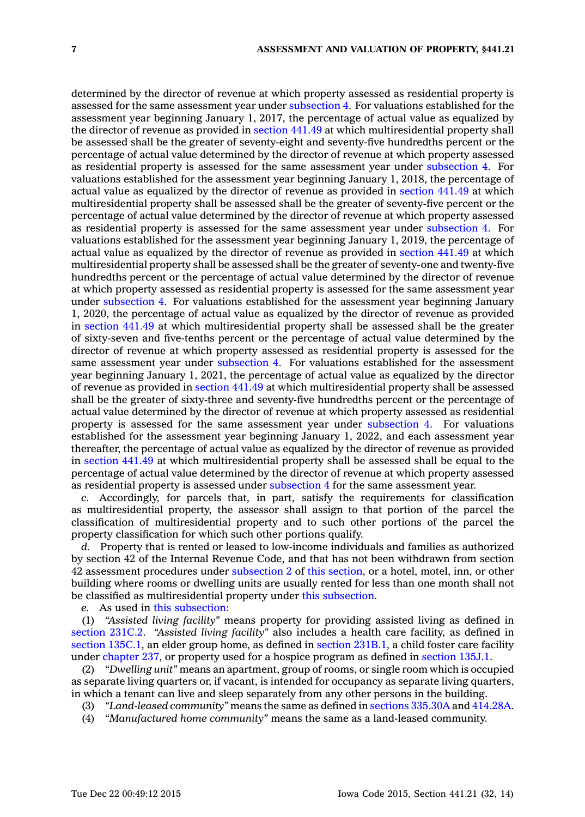determined by the director of revenue at which property assessed as residential property is assessed for the same assessment year under [subsection](https://www.legis.iowa.gov/docs/code//441.21.pdf) 4. For valuations established for the assessment year beginning January 1, 2017, the percentage of actual value as equalized by the director of revenue as provided in [section](https://www.legis.iowa.gov/docs/code//441.49.pdf) 441.49 at which multiresidential property shall be assessed shall be the greater of seventy-eight and seventy-five hundredths percent or the percentage of actual value determined by the director of revenue at which property assessed as residential property is assessed for the same assessment year under [subsection](https://www.legis.iowa.gov/docs/code//441.21.pdf) 4. For valuations established for the assessment year beginning January 1, 2018, the percentage of actual value as equalized by the director of revenue as provided in [section](https://www.legis.iowa.gov/docs/code//441.49.pdf) 441.49 at which multiresidential property shall be assessed shall be the greater of seventy-five percent or the percentage of actual value determined by the director of revenue at which property assessed as residential property is assessed for the same assessment year under [subsection](https://www.legis.iowa.gov/docs/code//441.21.pdf) 4. For valuations established for the assessment year beginning January 1, 2019, the percentage of actual value as equalized by the director of revenue as provided in [section](https://www.legis.iowa.gov/docs/code//441.49.pdf) 441.49 at which multiresidential property shall be assessed shall be the greater of seventy-one and twenty-five hundredths percent or the percentage of actual value determined by the director of revenue at which property assessed as residential property is assessed for the same assessment year under [subsection](https://www.legis.iowa.gov/docs/code//441.21.pdf) 4. For valuations established for the assessment year beginning January 1, 2020, the percentage of actual value as equalized by the director of revenue as provided in [section](https://www.legis.iowa.gov/docs/code//441.49.pdf) 441.49 at which multiresidential property shall be assessed shall be the greater of sixty-seven and five-tenths percent or the percentage of actual value determined by the director of revenue at which property assessed as residential property is assessed for the same assessment year under [subsection](https://www.legis.iowa.gov/docs/code//441.21.pdf) 4. For valuations established for the assessment year beginning January 1, 2021, the percentage of actual value as equalized by the director of revenue as provided in [section](https://www.legis.iowa.gov/docs/code//441.49.pdf) 441.49 at which multiresidential property shall be assessed shall be the greater of sixty-three and seventy-five hundredths percent or the percentage of actual value determined by the director of revenue at which property assessed as residential property is assessed for the same assessment year under [subsection](https://www.legis.iowa.gov/docs/code//441.21.pdf) 4. For valuations established for the assessment year beginning January 1, 2022, and each assessment year thereafter, the percentage of actual value as equalized by the director of revenue as provided in [section](https://www.legis.iowa.gov/docs/code//441.49.pdf) 441.49 at which multiresidential property shall be assessed shall be equal to the percentage of actual value determined by the director of revenue at which property assessed as residential property is assessed under [subsection](https://www.legis.iowa.gov/docs/code//441.21.pdf) 4 for the same assessment year.

*c.* Accordingly, for parcels that, in part, satisfy the requirements for classification as multiresidential property, the assessor shall assign to that portion of the parcel the classification of multiresidential property and to such other portions of the parcel the property classification for which such other portions qualify.

*d.* Property that is rented or leased to low-income individuals and families as authorized by section 42 of the Internal Revenue Code, and that has not been withdrawn from section 42 assessment procedures under [subsection](https://www.legis.iowa.gov/docs/code//441.21.pdf) 2 of this [section](https://www.legis.iowa.gov/docs/code//441.21.pdf), or <sup>a</sup> hotel, motel, inn, or other building where rooms or dwelling units are usually rented for less than one month shall not be classified as multiresidential property under this [subsection](https://www.legis.iowa.gov/docs/code//441.21.pdf).

*e.* As used in this [subsection](https://www.legis.iowa.gov/docs/code//441.21.pdf):

(1) *"Assisted living facility"* means property for providing assisted living as defined in [section](https://www.legis.iowa.gov/docs/code//231C.2.pdf) 231C.2. *"Assisted living facility"* also includes <sup>a</sup> health care facility, as defined in section [135C.1](https://www.legis.iowa.gov/docs/code//135C.1.pdf), an elder group home, as defined in section [231B.1](https://www.legis.iowa.gov/docs/code//231B.1.pdf), <sup>a</sup> child foster care facility under [chapter](https://www.legis.iowa.gov/docs/code//237.pdf) 237, or property used for <sup>a</sup> hospice program as defined in [section](https://www.legis.iowa.gov/docs/code//135J.1.pdf) 135J.1.

(2) *"Dwelling unit"* means an apartment, group of rooms, or single room which is occupied as separate living quarters or, if vacant, is intended for occupancy as separate living quarters, in which <sup>a</sup> tenant can live and sleep separately from any other persons in the building.

- (3) *"Land-leased community"* means the same as defined in sections [335.30A](https://www.legis.iowa.gov/docs/code//335.30A.pdf) and [414.28A](https://www.legis.iowa.gov/docs/code//414.28A.pdf).
- (4) *"Manufactured home community"* means the same as <sup>a</sup> land-leased community.